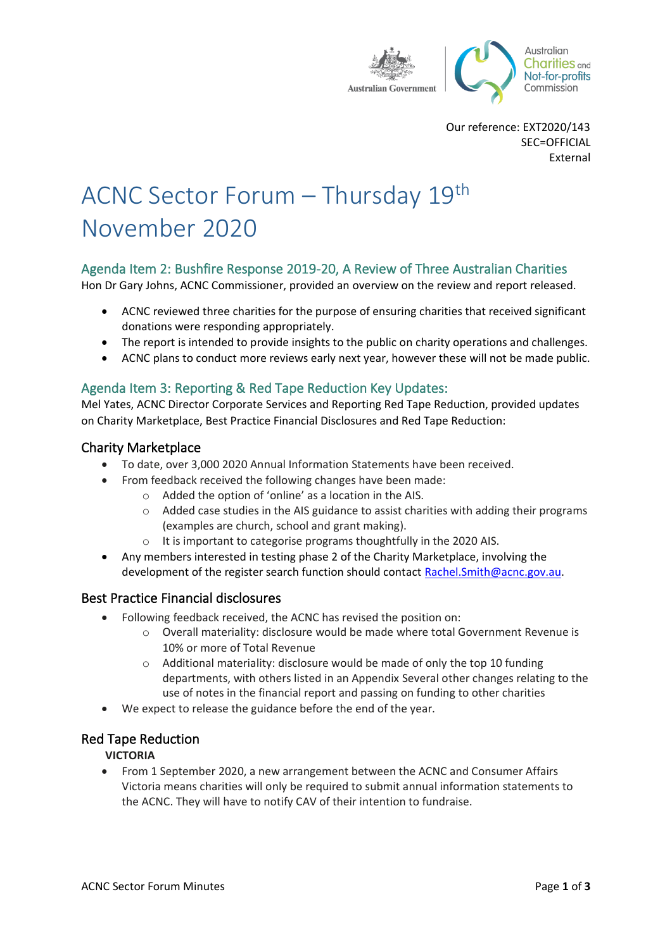

Our reference: EXT2020/143 SEC=OFFICIAL External

# ACNC Sector Forum – Thursday 19th November 2020

# Agenda Item 2: Bushfire Response 2019-20, A Review of Three Australian Charities

Hon Dr Gary Johns, ACNC Commissioner, provided an overview on the review and report released.

- ACNC reviewed three charities for the purpose of ensuring charities that received significant donations were responding appropriately.
- The report is intended to provide insights to the public on charity operations and challenges.
- ACNC plans to conduct more reviews early next year, however these will not be made public.

## Agenda Item 3: Reporting & Red Tape Reduction Key Updates:

Mel Yates, ACNC Director Corporate Services and Reporting Red Tape Reduction, provided updates on Charity Marketplace, Best Practice Financial Disclosures and Red Tape Reduction:

## Charity Marketplace

- To date, over 3,000 2020 Annual Information Statements have been received.
- From feedback received the following changes have been made:
	- o Added the option of 'online' as a location in the AIS.
	- o Added case studies in the AIS guidance to assist charities with adding their programs (examples are church, school and grant making).
	- o It is important to categorise programs thoughtfully in the 2020 AIS.
- Any members interested in testing phase 2 of the Charity Marketplace, involving the development of the register search function should contact [Rachel.Smith@acnc.gov.au.](mailto:Rachel.Smith@acnc.gov.au)

#### Best Practice Financial disclosures

- Following feedback received, the ACNC has revised the position on:
	- o Overall materiality: disclosure would be made where total Government Revenue is 10% or more of Total Revenue
	- o Additional materiality: disclosure would be made of only the top 10 funding departments, with others listed in an Appendix Several other changes relating to the use of notes in the financial report and passing on funding to other charities
- We expect to release the guidance before the end of the year.

#### Red Tape Reduction

#### **VICTORIA**

• From 1 September 2020, a new arrangement between the ACNC and Consumer Affairs Victoria means charities will only be required to submit annual information statements to the ACNC. They will have to notify CAV of their intention to fundraise.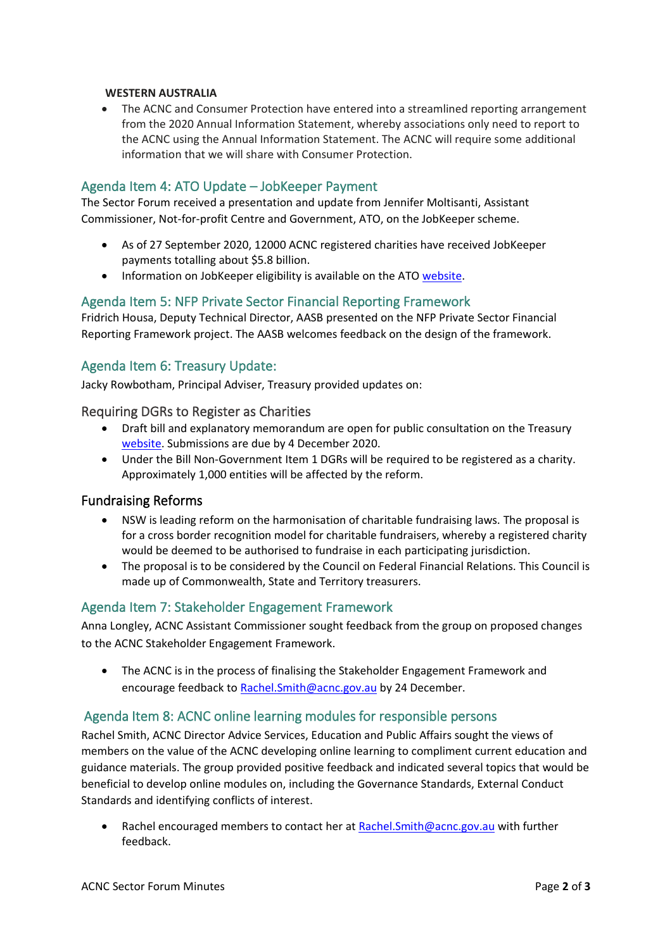#### **WESTERN AUSTRALIA**

• The ACNC and Consumer Protection have entered into a streamlined reporting arrangement from the 2020 Annual Information Statement, whereby associations only need to report to the ACNC using the Annual Information Statement. The ACNC will require some additional information that we will share with Consumer Protection.

## Agenda Item 4: ATO Update – JobKeeper Payment

The Sector Forum received a presentation and update from Jennifer Moltisanti, Assistant Commissioner, Not-for-profit Centre and Government, ATO, on the JobKeeper scheme.

- As of 27 September 2020, 12000 ACNC registered charities have received JobKeeper payments totalling about \$5.8 billion.
- Information on JobKeeper eligibility is available on the ATO [website.](http://www.ato.gov.au/General/JobKeeper-Payment/)

## Agenda Item 5: NFP Private Sector Financial Reporting Framework

Fridrich Housa, Deputy Technical Director, AASB presented on the NFP Private Sector Financial Reporting Framework project. The AASB welcomes feedback on the design of the framework.

## Agenda Item 6: Treasury Update:

Jacky Rowbotham, Principal Adviser, Treasury provided updates on:

#### Requiring DGRs to Register as Charities

- Draft bill and explanatory memorandum are open for public consultation on the Treasury [website.](https://treasury.gov.au/consultation/c2020-113633) Submissions are due by 4 December 2020.
- Under the Bill Non-Government Item 1 DGRs will be required to be registered as a charity. Approximately 1,000 entities will be affected by the reform.

#### Fundraising Reforms

- NSW is leading reform on the harmonisation of charitable fundraising laws. The proposal is for a cross border recognition model for charitable fundraisers, whereby a registered charity would be deemed to be authorised to fundraise in each participating jurisdiction.
- The proposal is to be considered by the Council on Federal Financial Relations. This Council is made up of Commonwealth, State and Territory treasurers.

#### Agenda Item 7: Stakeholder Engagement Framework

Anna Longley, ACNC Assistant Commissioner sought feedback from the group on proposed changes to the ACNC Stakeholder Engagement Framework.

• The ACNC is in the process of finalising the Stakeholder Engagement Framework and encourage feedback to Rachel. Smith@acnc.gov.au by 24 December.

#### Agenda Item 8: ACNC online learning modules for responsible persons

Rachel Smith, ACNC Director Advice Services, Education and Public Affairs sought the views of members on the value of the ACNC developing online learning to compliment current education and guidance materials. The group provided positive feedback and indicated several topics that would be beneficial to develop online modules on, including the Governance Standards, External Conduct Standards and identifying conflicts of interest.

Rachel encouraged members to contact her at Rachel. Smith@acnc.gov.au with further feedback.